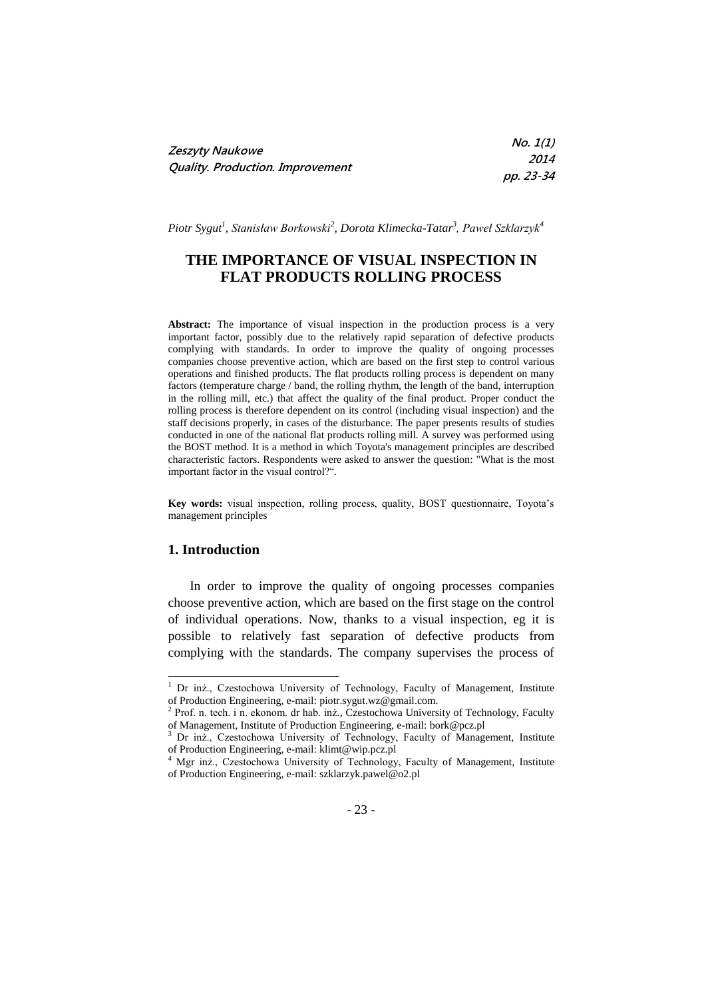| Zeszyty Naukowe                  | No. 1(1)    |
|----------------------------------|-------------|
|                                  | <i>2014</i> |
| Quality. Production. Improvement | pp. 23-34   |

*Piotr Sygut<sup>1</sup> , Stanisław Borkowski<sup>2</sup> , Dorota Klimecka-Tatar<sup>3</sup> , Paweł Szklarzyk<sup>4</sup>*

# **THE IMPORTANCE OF VISUAL INSPECTION IN FLAT PRODUCTS ROLLING PROCESS**

**Abstract:** The importance of visual inspection in the production process is a very important factor, possibly due to the relatively rapid separation of defective products complying with standards. In order to improve the quality of ongoing processes companies choose preventive action, which are based on the first step to control various operations and finished products. The flat products rolling process is dependent on many factors (temperature charge / band, the rolling rhythm, the length of the band, interruption in the rolling mill, etc.) that affect the quality of the final product. Proper conduct the rolling process is therefore dependent on its control (including visual inspection) and the staff decisions properly, in cases of the disturbance. The paper presents results of studies conducted in one of the national flat products rolling mill. A survey was performed using the BOST method. It is a method in which Toyota's management principles are described characteristic factors. Respondents were asked to answer the question: "What is the most important factor in the visual control?".

**Key words:** visual inspection, rolling process, quality, BOST questionnaire, Toyota's management principles

#### **1. Introduction**

In order to improve the quality of ongoing processes companies choose preventive action, which are based on the first stage on the control of individual operations. Now, thanks to a visual inspection, eg it is possible to relatively fast separation of defective products from complying with the standards. The company supervises the process of

<sup>&</sup>lt;sup>1</sup> Dr inż., Czestochowa University of Technology, Faculty of Management, Institute of Production Engineering, e-mail: piotr.sygut.wz@gmail.com.<br><sup>2</sup> Prof. n. tech. i n. ekonom. dr hab. inż., Czestochowa University of Technology, Faculty

of Management, Institute of Production Engineering, e-mail: bork@pcz.pl

<sup>&</sup>lt;sup>3</sup> Dr inż., Czestochowa University of Technology, Faculty of Management, Institute of Production Engineering, e-mail: klimt@wip.pcz.pl

<sup>4</sup> Mgr inż., Czestochowa University of Technology, Faculty of Management, Institute of Production Engineering, e-mail: szklarzyk.pawel@o2.pl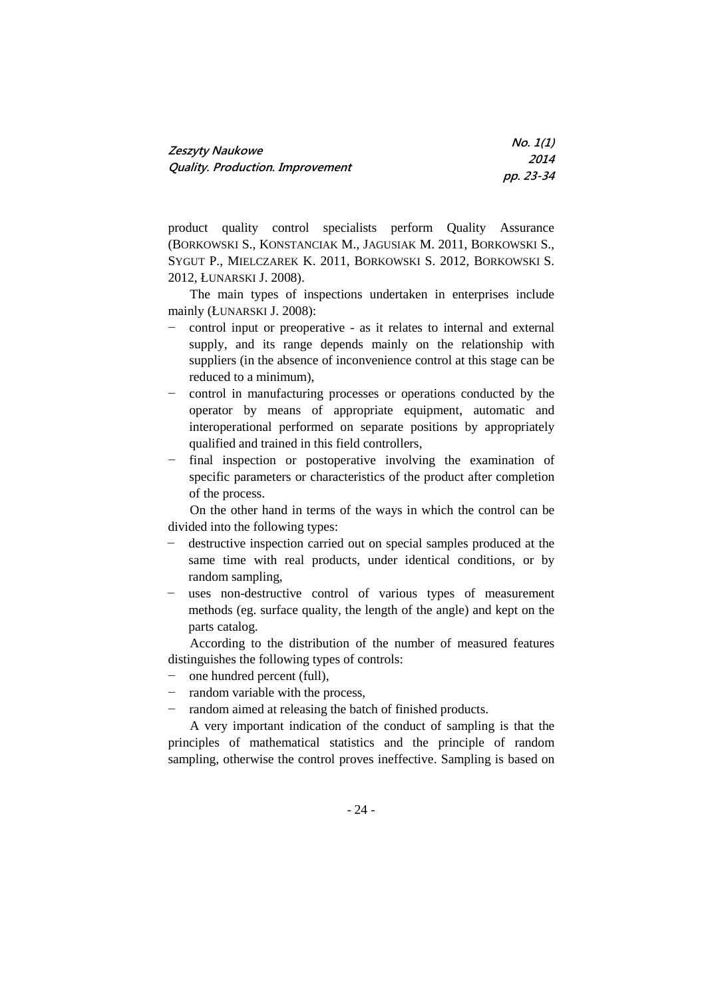| <b>Zeszyty Naukowe</b>                  | No. 1(1)    |
|-----------------------------------------|-------------|
|                                         | <i>2014</i> |
| <b>Quality. Production. Improvement</b> | pp. 23-34   |

product quality control specialists perform Quality Assurance (BORKOWSKI S., KONSTANCIAK M., JAGUSIAK M. 2011, BORKOWSKI S., SYGUT P., MIELCZAREK K. 2011, BORKOWSKI S. 2012, BORKOWSKI S. 2012, ŁUNARSKI J. 2008).

The main types of inspections undertaken in enterprises include mainly (ŁUNARSKI J. 2008):

- − control input or preoperative as it relates to internal and external supply, and its range depends mainly on the relationship with suppliers (in the absence of inconvenience control at this stage can be reduced to a minimum),
- − control in manufacturing processes or operations conducted by the operator by means of appropriate equipment, automatic and interoperational performed on separate positions by appropriately qualified and trained in this field controllers,
- − final inspection or postoperative involving the examination of specific parameters or characteristics of the product after completion of the process.

On the other hand in terms of the ways in which the control can be divided into the following types:

- − destructive inspection carried out on special samples produced at the same time with real products, under identical conditions, or by random sampling,
- − uses non-destructive control of various types of measurement methods (eg. surface quality, the length of the angle) and kept on the parts catalog.

According to the distribution of the number of measured features distinguishes the following types of controls:

- − one hundred percent (full),
- − random variable with the process,
- − random aimed at releasing the batch of finished products.

A very important indication of the conduct of sampling is that the principles of mathematical statistics and the principle of random sampling, otherwise the control proves ineffective. Sampling is based on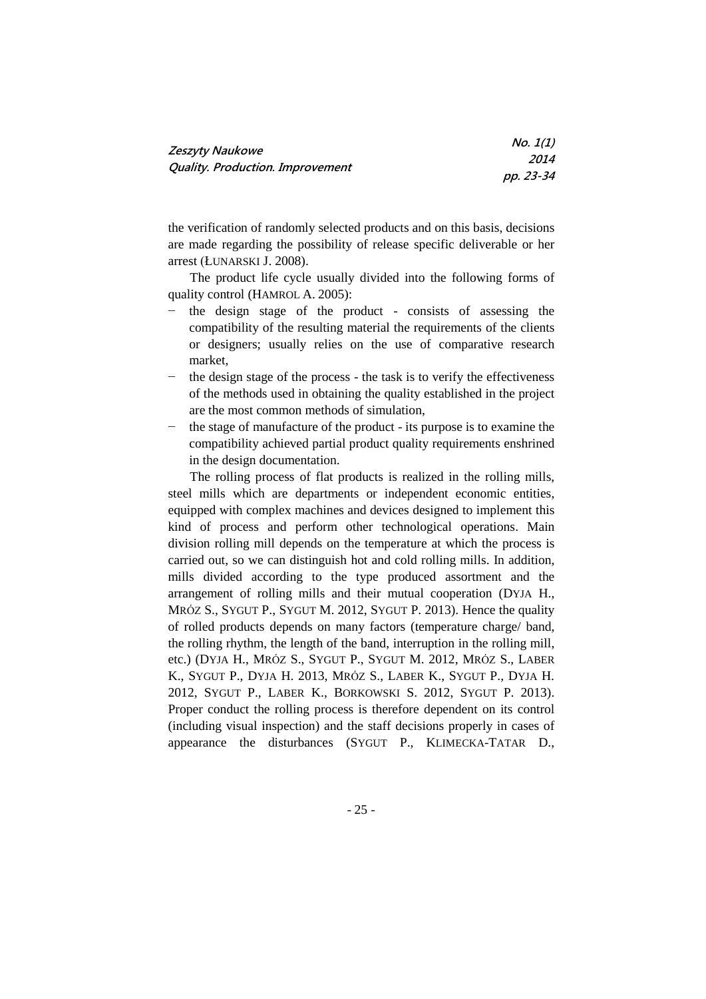| Zeszyty Naukowe                         | No. 1(1)    |
|-----------------------------------------|-------------|
|                                         | <i>2014</i> |
| <b>Quality. Production. Improvement</b> | pp. 23-34   |

the verification of randomly selected products and on this basis, decisions are made regarding the possibility of release specific deliverable or her arrest (ŁUNARSKI J. 2008).

The product life cycle usually divided into the following forms of quality control (HAMROL A. 2005):

- the design stage of the product consists of assessing the compatibility of the resulting material the requirements of the clients or designers; usually relies on the use of comparative research market,
- the design stage of the process the task is to verify the effectiveness of the methods used in obtaining the quality established in the project are the most common methods of simulation,
- the stage of manufacture of the product its purpose is to examine the compatibility achieved partial product quality requirements enshrined in the design documentation.

The rolling process of flat products is realized in the rolling mills, steel mills which are departments or independent economic entities, equipped with complex machines and devices designed to implement this kind of process and perform other technological operations. Main division rolling mill depends on the temperature at which the process is carried out, so we can distinguish hot and cold rolling mills. In addition, mills divided according to the type produced assortment and the arrangement of rolling mills and their mutual cooperation (DYJA H., MRÓZ S., SYGUT P., SYGUT M. 2012, SYGUT P. 2013). Hence the quality of rolled products depends on many factors (temperature charge/ band, the rolling rhythm, the length of the band, interruption in the rolling mill, etc.) (DYJA H., MRÓZ S., SYGUT P., SYGUT M. 2012, MRÓZ S., LABER K., SYGUT P., DYJA H. 2013, MRÓZ S., LABER K., SYGUT P., DYJA H. 2012, SYGUT P., LABER K., BORKOWSKI S. 2012, SYGUT P. 2013). Proper conduct the rolling process is therefore dependent on its control (including visual inspection) and the staff decisions properly in cases of appearance the disturbances (SYGUT P., KLIMECKA-TATAR D.,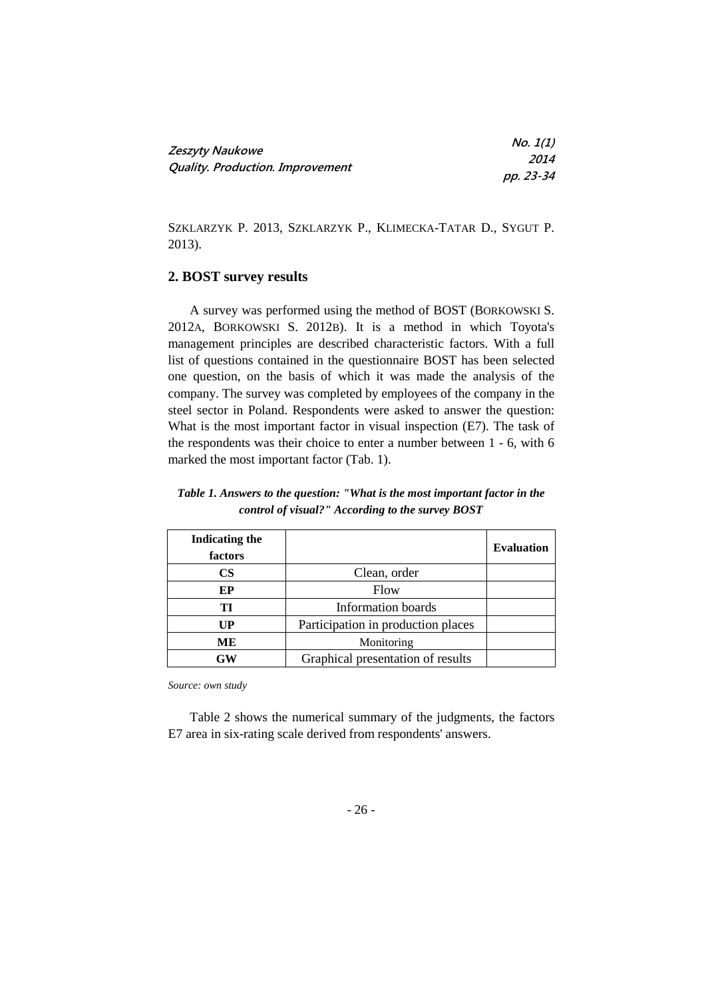|                                         | No. 1(1)  |
|-----------------------------------------|-----------|
| Zeszyty Naukowe                         | 2014      |
| <b>Quality. Production. Improvement</b> | pp. 23-34 |

SZKLARZYK P. 2013, SZKLARZYK P., KLIMECKA-TATAR D., SYGUT P. 2013).

# **2. BOST survey results**

A survey was performed using the method of BOST (BORKOWSKI S. 2012A, BORKOWSKI S. 2012B). It is a method in which Toyota's management principles are described characteristic factors. With a full list of questions contained in the questionnaire BOST has been selected one question, on the basis of which it was made the analysis of the company. The survey was completed by employees of the company in the steel sector in Poland. Respondents were asked to answer the question: What is the most important factor in visual inspection (E7). The task of the respondents was their choice to enter a number between 1 - 6, with 6 marked the most important factor (Tab. 1).

| <b>Indicating the</b><br>factors |                                    | <b>Evaluation</b> |
|----------------------------------|------------------------------------|-------------------|
| $\mathbf{CS}$                    | Clean, order                       |                   |
| EP                               | Flow                               |                   |
| TI                               | Information boards                 |                   |
| UP                               | Participation in production places |                   |
| MЕ                               | Monitoring                         |                   |
| GW                               | Graphical presentation of results  |                   |

*Table 1. Answers to the question: "What is the most important factor in the control of visual?" According to the survey BOST*

*Source: own study*

Table 2 shows the numerical summary of the judgments, the factors E7 area in six-rating scale derived from respondents' answers.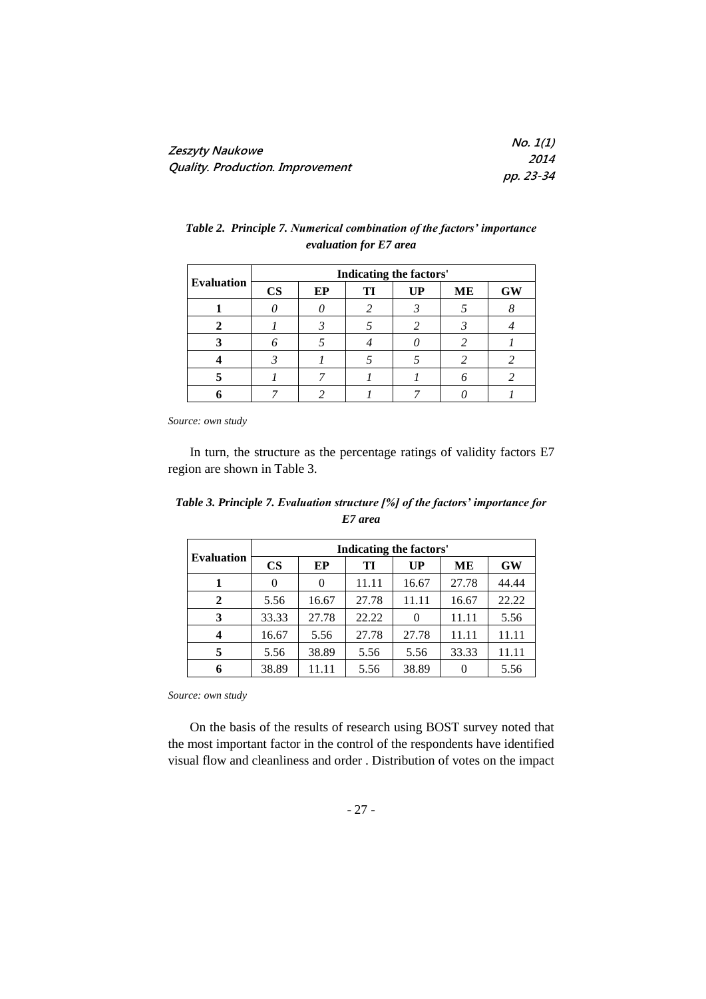| Zeszyty Naukowe                  | No. 1(1)    |
|----------------------------------|-------------|
| Quality. Production. Improvement | <i>2014</i> |
|                                  | pp. 23-34   |

|                   | Indicating the factors' |    |    |    |           |           |
|-------------------|-------------------------|----|----|----|-----------|-----------|
| <b>Evaluation</b> | $\mathbf{CS}$           | EP | TI | UP | <b>ME</b> | <b>GW</b> |
|                   |                         |    |    |    |           |           |
|                   |                         |    |    |    |           |           |
|                   |                         |    |    |    |           |           |
|                   |                         |    |    |    |           |           |
|                   |                         |    |    |    |           |           |
|                   |                         |    |    |    |           |           |

## *Table 2. Principle 7. Numerical combination of the factors' importance evaluation for E7 area*

*Source: own study*

In turn, the structure as the percentage ratings of validity factors E7 region are shown in Table 3.

| Table 3. Principle 7. Evaluation structure [%] of the factors' importance for |
|-------------------------------------------------------------------------------|
| E7 area                                                                       |
|                                                                               |

|                   | <b>Indicating the factors'</b> |       |       |       |       |           |
|-------------------|--------------------------------|-------|-------|-------|-------|-----------|
| <b>Evaluation</b> | $\mathbf{CS}$                  | EP    | TI    | UP    | MЕ    | <b>GW</b> |
|                   |                                |       | 11.11 | 16.67 | 27.78 | 44.44     |
| 2                 | 5.56                           | 16.67 | 27.78 | 11.11 | 16.67 | 22.22     |
| 3                 | 33.33                          | 27.78 | 22.22 |       | 11.11 | 5.56      |
|                   | 16.67                          | 5.56  | 27.78 | 27.78 | 11.11 | 11.11     |
|                   | 5.56                           | 38.89 | 5.56  | 5.56  | 33.33 | 11.11     |
|                   | 38.89                          | 11.11 | 5.56  | 38.89 |       | 5.56      |

*Source: own study*

On the basis of the results of research using BOST survey noted that the most important factor in the control of the respondents have identified visual flow and cleanliness and order . Distribution of votes on the impact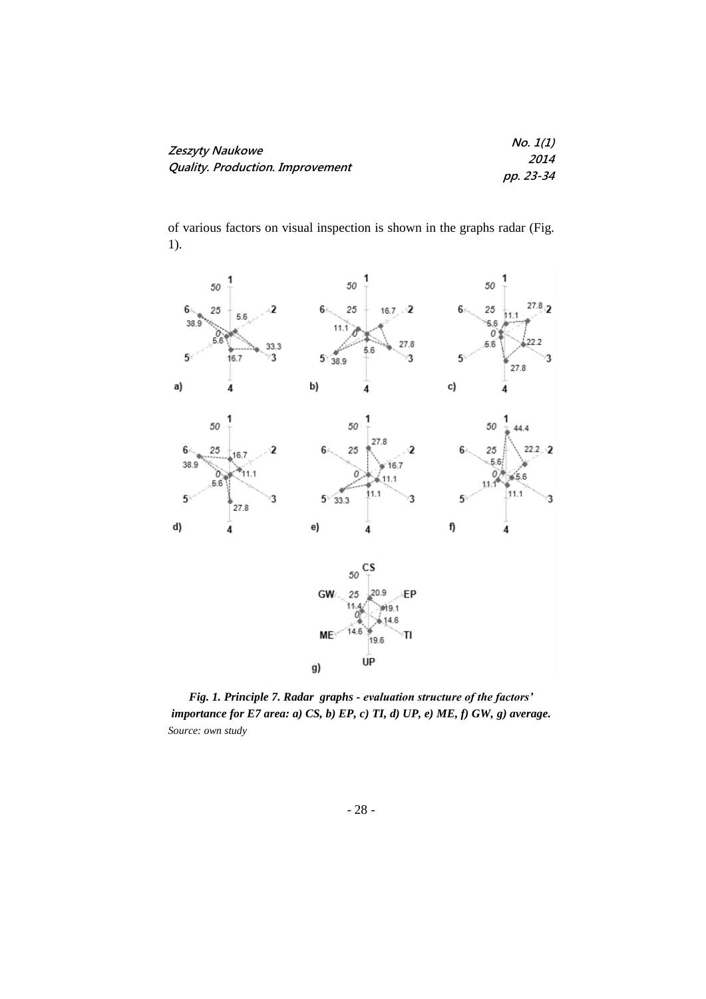| Zeszyty Naukowe                  | No. 1(1)    |
|----------------------------------|-------------|
|                                  | <i>2014</i> |
| Quality. Production. Improvement | pp. 23-34   |

of various factors on visual inspection is shown in the graphs radar (Fig. 1).



*Fig. 1. Principle 7. Radar graphs - evaluation structure of the factors' importance for E7 area: a) CS, b) EP, c) TI, d) UP, e) ME, f) GW, g) average. Source: own study*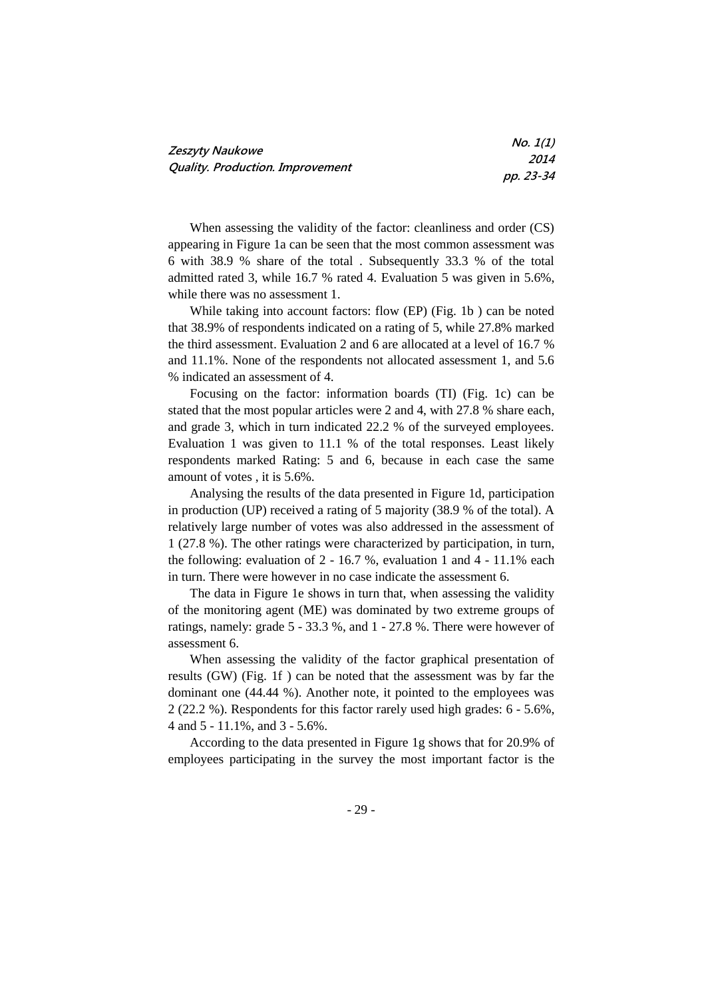| <b>Zeszyty Naukowe</b>                  | No. 1(1)    |
|-----------------------------------------|-------------|
|                                         | <i>2014</i> |
| <b>Quality. Production. Improvement</b> | pp. 23-34   |

When assessing the validity of the factor: cleanliness and order (CS) appearing in Figure 1a can be seen that the most common assessment was 6 with 38.9 % share of the total . Subsequently 33.3 % of the total admitted rated 3, while 16.7 % rated 4. Evaluation 5 was given in 5.6%, while there was no assessment 1.

While taking into account factors: flow (EP) (Fig. 1b ) can be noted that 38.9% of respondents indicated on a rating of 5, while 27.8% marked the third assessment. Evaluation 2 and 6 are allocated at a level of 16.7 % and 11.1%. None of the respondents not allocated assessment 1, and 5.6 % indicated an assessment of 4.

Focusing on the factor: information boards (TI) (Fig. 1c) can be stated that the most popular articles were 2 and 4, with 27.8 % share each, and grade 3, which in turn indicated 22.2 % of the surveyed employees. Evaluation 1 was given to 11.1 % of the total responses. Least likely respondents marked Rating: 5 and 6, because in each case the same amount of votes , it is 5.6%.

Analysing the results of the data presented in Figure 1d, participation in production (UP) received a rating of 5 majority (38.9 % of the total). A relatively large number of votes was also addressed in the assessment of 1 (27.8 %). The other ratings were characterized by participation, in turn, the following: evaluation of 2 - 16.7 %, evaluation 1 and 4 - 11.1% each in turn. There were however in no case indicate the assessment 6.

The data in Figure 1e shows in turn that, when assessing the validity of the monitoring agent (ME) was dominated by two extreme groups of ratings, namely: grade 5 - 33.3 %, and 1 - 27.8 %. There were however of assessment 6.

When assessing the validity of the factor graphical presentation of results (GW) (Fig. 1f ) can be noted that the assessment was by far the dominant one (44.44 %). Another note, it pointed to the employees was 2 (22.2 %). Respondents for this factor rarely used high grades: 6 - 5.6%, 4 and 5 - 11.1%, and 3 - 5.6%.

According to the data presented in Figure 1g shows that for 20.9% of employees participating in the survey the most important factor is the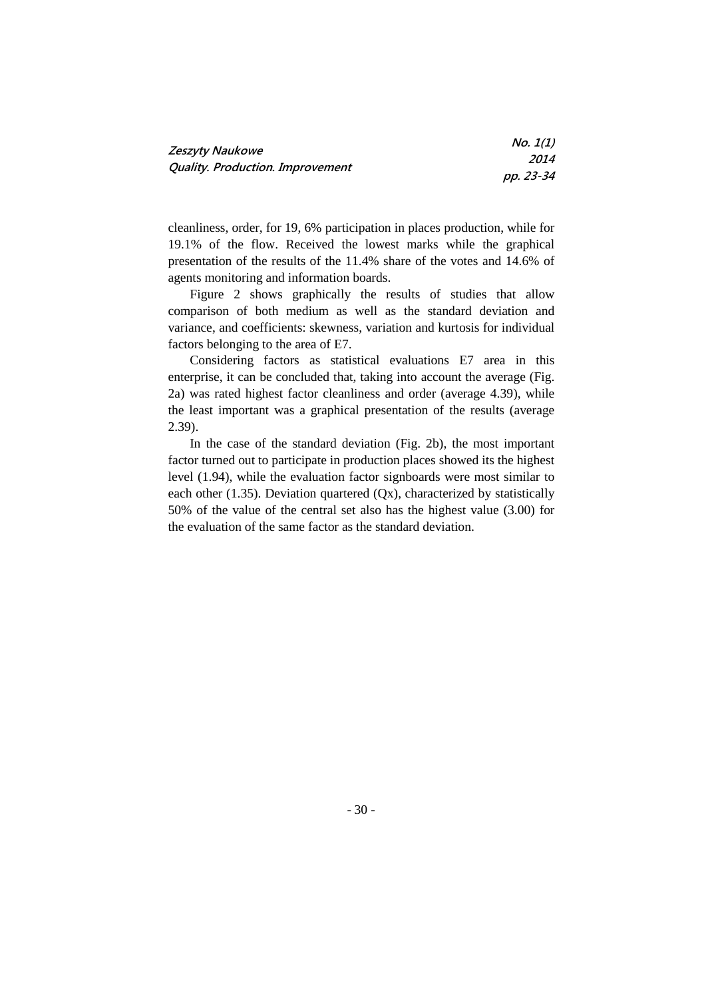| <b>Zeszyty Naukowe</b>           | No. 1(1)    |
|----------------------------------|-------------|
|                                  | <i>2014</i> |
| Quality. Production. Improvement | pp. 23-34   |

cleanliness, order, for 19, 6% participation in places production, while for 19.1% of the flow. Received the lowest marks while the graphical presentation of the results of the 11.4% share of the votes and 14.6% of agents monitoring and information boards.

Figure 2 shows graphically the results of studies that allow comparison of both medium as well as the standard deviation and variance, and coefficients: skewness, variation and kurtosis for individual factors belonging to the area of E7.

Considering factors as statistical evaluations E7 area in this enterprise, it can be concluded that, taking into account the average (Fig. 2a) was rated highest factor cleanliness and order (average 4.39), while the least important was a graphical presentation of the results (average 2.39).

In the case of the standard deviation (Fig. 2b), the most important factor turned out to participate in production places showed its the highest level (1.94), while the evaluation factor signboards were most similar to each other (1.35). Deviation quartered  $(Qx)$ , characterized by statistically 50% of the value of the central set also has the highest value (3.00) for the evaluation of the same factor as the standard deviation.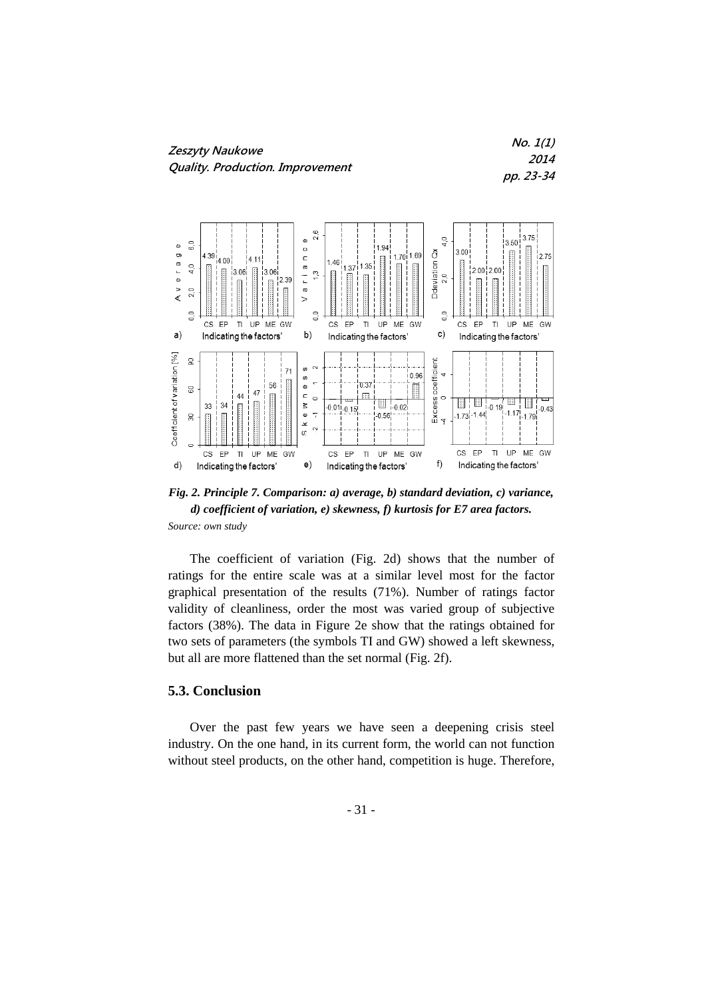

**No. 1(1) 2014 pp. 23-34**



*Fig. 2. Principle 7. Comparison: a) average, b) standard deviation, c) variance, d) coefficient of variation, e) skewness, f) kurtosis for E7 area factors. Source: own study*

The coefficient of variation (Fig. 2d) shows that the number of ratings for the entire scale was at a similar level most for the factor graphical presentation of the results (71%). Number of ratings factor validity of cleanliness, order the most was varied group of subjective factors (38%). The data in Figure 2e show that the ratings obtained for two sets of parameters (the symbols TI and GW) showed a left skewness, but all are more flattened than the set normal (Fig. 2f).

### **5.3. Conclusion**

Over the past few years we have seen a deepening crisis steel industry. On the one hand, in its current form, the world can not function without steel products, on the other hand, competition is huge. Therefore,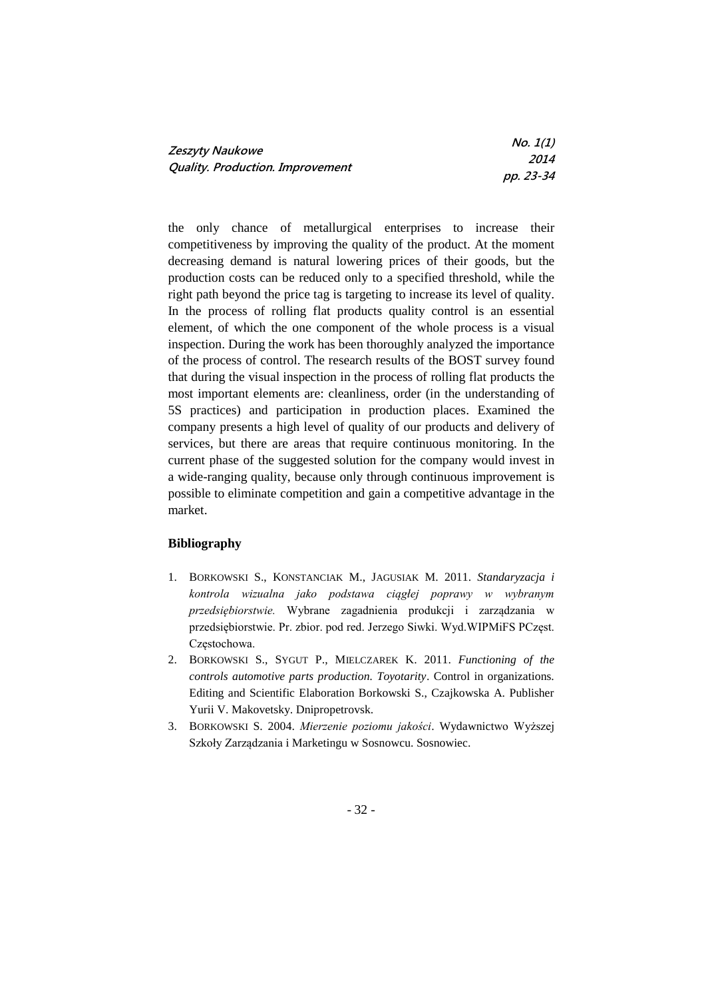| Zeszyty Naukowe<br>Quality. Production. Improvement | No. 1(1)    |
|-----------------------------------------------------|-------------|
|                                                     | <i>2014</i> |
|                                                     | pp. 23-34   |

the only chance of metallurgical enterprises to increase their competitiveness by improving the quality of the product. At the moment decreasing demand is natural lowering prices of their goods, but the production costs can be reduced only to a specified threshold, while the right path beyond the price tag is targeting to increase its level of quality. In the process of rolling flat products quality control is an essential element, of which the one component of the whole process is a visual inspection. During the work has been thoroughly analyzed the importance of the process of control. The research results of the BOST survey found that during the visual inspection in the process of rolling flat products the most important elements are: cleanliness, order (in the understanding of 5S practices) and participation in production places. Examined the company presents a high level of quality of our products and delivery of services, but there are areas that require continuous monitoring. In the current phase of the suggested solution for the company would invest in a wide-ranging quality, because only through continuous improvement is possible to eliminate competition and gain a competitive advantage in the market.

### **Bibliography**

- 1. BORKOWSKI S., KONSTANCIAK M., JAGUSIAK M. 2011. *Standaryzacja i kontrola wizualna jako podstawa ciągłej poprawy w wybranym przedsiębiorstwie.* Wybrane zagadnienia produkcji i zarządzania w przedsiębiorstwie. Pr. zbior. pod red. Jerzego Siwki. Wyd.WIPMiFS PCzęst. Częstochowa.
- 2. BORKOWSKI S., SYGUT P., MIELCZAREK K. 2011. *Functioning of the controls automotive parts production. Toyotarity*. Control in organizations. Editing and Scientific Elaboration Borkowski S., Czajkowska A. Publisher Yurii V. Makovetsky. Dnipropetrovsk.
- 3. BORKOWSKI S. 2004. *Mierzenie poziomu jakości*. Wydawnictwo Wyższej Szkoły Zarządzania i Marketingu w Sosnowcu. Sosnowiec.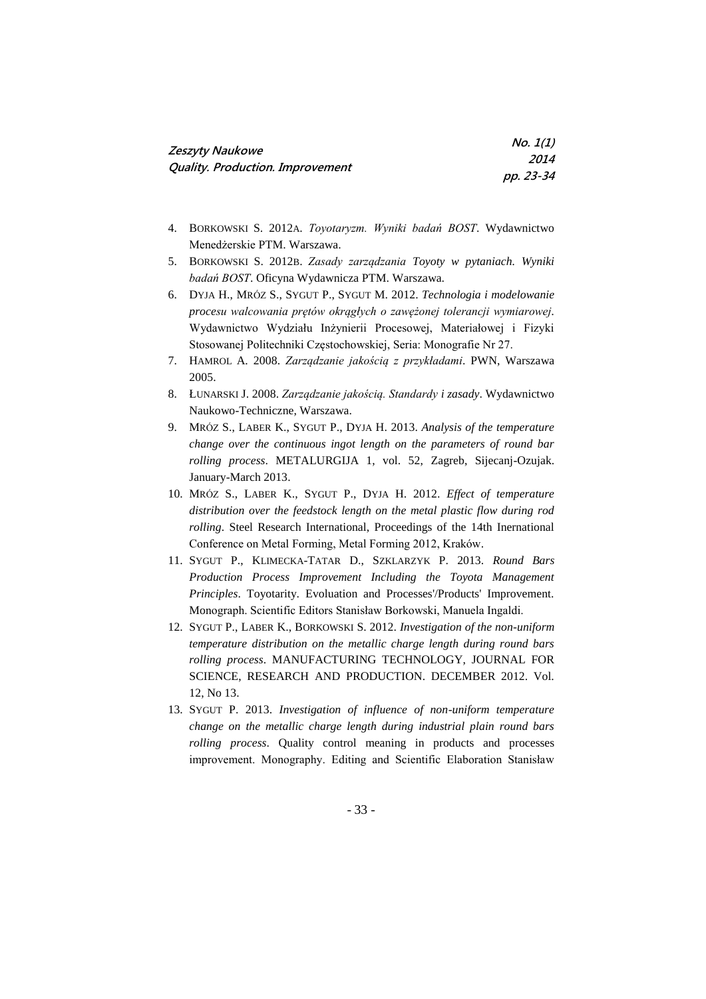| Zeszyty Naukowe                         | No. 1(1)    |
|-----------------------------------------|-------------|
| <b>Quality. Production. Improvement</b> | <i>2014</i> |
|                                         | pp. 23-34   |

- 4. BORKOWSKI S. 2012A. *Toyotaryzm. Wyniki badań BOST*. Wydawnictwo Menedżerskie PTM. Warszawa.
- 5. BORKOWSKI S. 2012B. *Zasady zarządzania Toyoty w pytaniach. Wyniki badań BOST*. Oficyna Wydawnicza PTM. Warszawa.
- 6. DYJA H., MRÓZ S., SYGUT P., SYGUT M. 2012. *Technologia i modelowanie procesu walcowania prętów okrągłych o zawężonej tolerancji wymiarowej.* Wydawnictwo Wydziału Inżynierii Procesowej, Materiałowej i Fizyki Stosowanej Politechniki Częstochowskiej, Seria: Monografie Nr 27.
- 7. HAMROL A. 2008. *Zarządzanie jakością z przykładami*. PWN, Warszawa 2005.
- 8. ŁUNARSKI J. 2008. *Zarządzanie jakością. Standardy i zasady*. Wydawnictwo Naukowo-Techniczne, Warszawa.
- 9. MRÓZ S., LABER K., SYGUT P., DYJA H. 2013. *Analysis of the temperature change over the continuous ingot length on the parameters of round bar rolling process*. METALURGIJA 1, vol. 52, Zagreb, Sijecanj-Ozujak. January-March 2013.
- 10. MRÓZ S., LABER K., SYGUT P., DYJA H. 2012. *Effect of temperature distribution over the feedstock length on the metal plastic flow during rod rolling*. Steel Research International, Proceedings of the 14th Inernational Conference on Metal Forming, Metal Forming 2012, Kraków.
- 11. SYGUT P., KLIMECKA-TATAR D., SZKLARZYK P. 2013. *Round Bars Production Process Improvement Including the Toyota Management Principles*. Toyotarity. Evoluation and Processes'/Products' Improvement. Monograph. Scientific Editors Stanisław Borkowski, Manuela Ingaldi.
- 12. SYGUT P., LABER K., BORKOWSKI S. 2012. *Investigation of the non-uniform temperature distribution on the metallic charge length during round bars rolling process*. MANUFACTURING TECHNOLOGY, JOURNAL FOR SCIENCE, RESEARCH AND PRODUCTION. DECEMBER 2012. Vol. 12, No 13.
- 13. SYGUT P. 2013. *Investigation of influence of non-uniform temperature change on the metallic charge length during industrial plain round bars rolling process*. Quality control meaning in products and processes improvement. Monography. Editing and Scientific Elaboration Stanisław